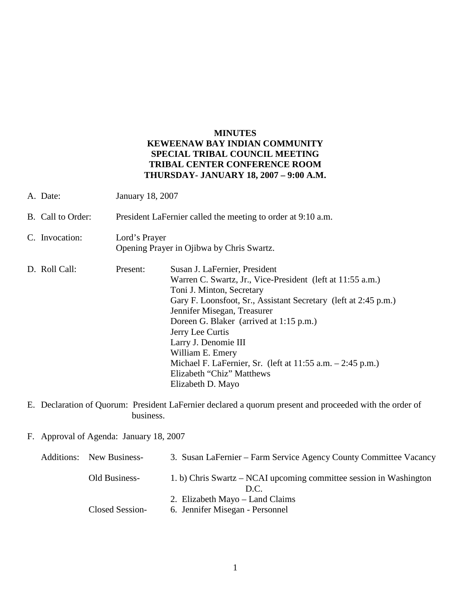## **MINUTES KEWEENAW BAY INDIAN COMMUNITY SPECIAL TRIBAL COUNCIL MEETING TRIBAL CENTER CONFERENCE ROOM THURSDAY- JANUARY 18, 2007 – 9:00 A.M.**

- A. Date: January 18, 2007 B. Call to Order: President LaFernier called the meeting to order at 9:10 a.m. C. Invocation: Lord's Prayer Opening Prayer in Ojibwa by Chris Swartz. D. Roll Call: Present: Susan J. LaFernier, President Warren C. Swartz, Jr., Vice-President (left at 11:55 a.m.) Toni J. Minton, Secretary Gary F. Loonsfoot, Sr., Assistant Secretary (left at 2:45 p.m.) Jennifer Misegan, Treasurer Doreen G. Blaker (arrived at 1:15 p.m.) Jerry Lee Curtis Larry J. Denomie III William E. Emery Michael F. LaFernier, Sr. (left at 11:55 a.m. – 2:45 p.m.) Elizabeth "Chiz" Matthews Elizabeth D. Mayo
- E. Declaration of Quorum: President LaFernier declared a quorum present and proceeded with the order of business.

F. Approval of Agenda: January 18, 2007

| <b>Additions:</b> New Business- | 3. Susan LaFernier – Farm Service Agency County Committee Vacancy          |
|---------------------------------|----------------------------------------------------------------------------|
| Old Business-                   | 1. b) Chris Swartz – NCAI upcoming committee session in Washington<br>D.C. |
|                                 | 2. Elizabeth Mayo – Land Claims                                            |
| Closed Session-                 | 6. Jennifer Misegan - Personnel                                            |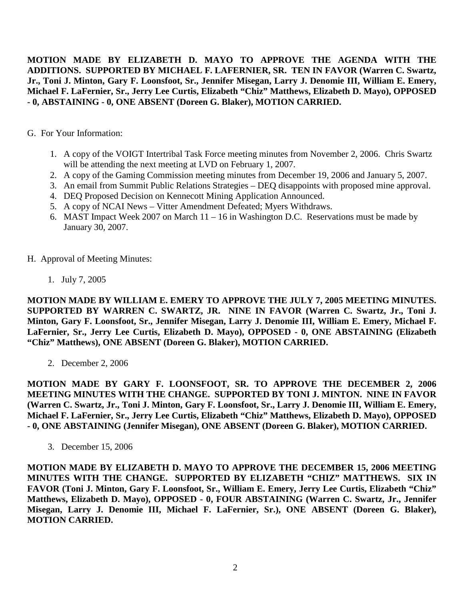**MOTION MADE BY ELIZABETH D. MAYO TO APPROVE THE AGENDA WITH THE ADDITIONS. SUPPORTED BY MICHAEL F. LAFERNIER, SR. TEN IN FAVOR (Warren C. Swartz, Jr., Toni J. Minton, Gary F. Loonsfoot, Sr., Jennifer Misegan, Larry J. Denomie III, William E. Emery, Michael F. LaFernier, Sr., Jerry Lee Curtis, Elizabeth "Chiz" Matthews, Elizabeth D. Mayo), OPPOSED - 0, ABSTAINING - 0, ONE ABSENT (Doreen G. Blaker), MOTION CARRIED.**

G. For Your Information:

- 1. A copy of the VOIGT Intertribal Task Force meeting minutes from November 2, 2006. Chris Swartz will be attending the next meeting at LVD on February 1, 2007.
- 2. A copy of the Gaming Commission meeting minutes from December 19, 2006 and January 5, 2007.
- 3. An email from Summit Public Relations Strategies DEQ disappoints with proposed mine approval.
- 4. DEQ Proposed Decision on Kennecott Mining Application Announced.
- 5. A copy of NCAI News Vitter Amendment Defeated; Myers Withdraws.
- 6. MAST Impact Week 2007 on March 11 16 in Washington D.C. Reservations must be made by January 30, 2007.
- H. Approval of Meeting Minutes:
	- 1. July 7, 2005

**MOTION MADE BY WILLIAM E. EMERY TO APPROVE THE JULY 7, 2005 MEETING MINUTES. SUPPORTED BY WARREN C. SWARTZ, JR. NINE IN FAVOR (Warren C. Swartz, Jr., Toni J. Minton, Gary F. Loonsfoot, Sr., Jennifer Misegan, Larry J. Denomie III, William E. Emery, Michael F. LaFernier, Sr., Jerry Lee Curtis, Elizabeth D. Mayo), OPPOSED - 0, ONE ABSTAINING (Elizabeth "Chiz" Matthews), ONE ABSENT (Doreen G. Blaker), MOTION CARRIED.**

2. December 2, 2006

**MOTION MADE BY GARY F. LOONSFOOT, SR. TO APPROVE THE DECEMBER 2, 2006 MEETING MINUTES WITH THE CHANGE. SUPPORTED BY TONI J. MINTON. NINE IN FAVOR (Warren C. Swartz, Jr., Toni J. Minton, Gary F. Loonsfoot, Sr., Larry J. Denomie III, William E. Emery, Michael F. LaFernier, Sr., Jerry Lee Curtis, Elizabeth "Chiz" Matthews, Elizabeth D. Mayo), OPPOSED - 0, ONE ABSTAINING (Jennifer Misegan), ONE ABSENT (Doreen G. Blaker), MOTION CARRIED.**

3. December 15, 2006

**MOTION MADE BY ELIZABETH D. MAYO TO APPROVE THE DECEMBER 15, 2006 MEETING MINUTES WITH THE CHANGE. SUPPORTED BY ELIZABETH "CHIZ" MATTHEWS. SIX IN FAVOR (Toni J. Minton, Gary F. Loonsfoot, Sr., William E. Emery, Jerry Lee Curtis, Elizabeth "Chiz" Matthews, Elizabeth D. Mayo), OPPOSED - 0, FOUR ABSTAINING (Warren C. Swartz, Jr., Jennifer Misegan, Larry J. Denomie III, Michael F. LaFernier, Sr.), ONE ABSENT (Doreen G. Blaker), MOTION CARRIED.**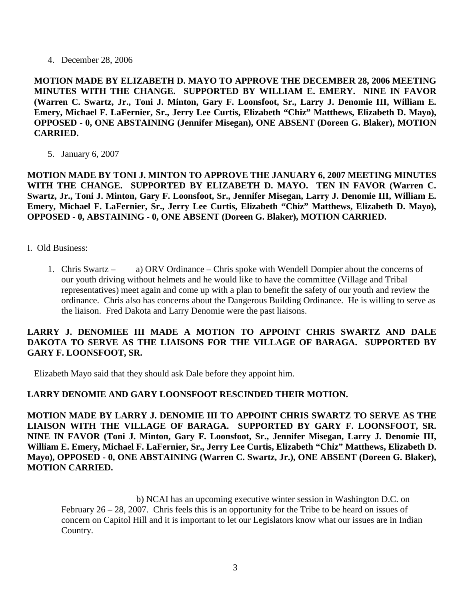4. December 28, 2006

**MOTION MADE BY ELIZABETH D. MAYO TO APPROVE THE DECEMBER 28, 2006 MEETING MINUTES WITH THE CHANGE. SUPPORTED BY WILLIAM E. EMERY. NINE IN FAVOR (Warren C. Swartz, Jr., Toni J. Minton, Gary F. Loonsfoot, Sr., Larry J. Denomie III, William E. Emery, Michael F. LaFernier, Sr., Jerry Lee Curtis, Elizabeth "Chiz" Matthews, Elizabeth D. Mayo), OPPOSED - 0, ONE ABSTAINING (Jennifer Misegan), ONE ABSENT (Doreen G. Blaker), MOTION CARRIED.**

5. January 6, 2007

**MOTION MADE BY TONI J. MINTON TO APPROVE THE JANUARY 6, 2007 MEETING MINUTES**  WITH THE CHANGE. SUPPORTED BY ELIZABETH D. MAYO. TEN IN FAVOR (Warren C. **Swartz, Jr., Toni J. Minton, Gary F. Loonsfoot, Sr., Jennifer Misegan, Larry J. Denomie III, William E. Emery, Michael F. LaFernier, Sr., Jerry Lee Curtis, Elizabeth "Chiz" Matthews, Elizabeth D. Mayo), OPPOSED - 0, ABSTAINING - 0, ONE ABSENT (Doreen G. Blaker), MOTION CARRIED.**

- I. Old Business:
	- 1. Chris Swartz a) ORV Ordinance Chris spoke with Wendell Dompier about the concerns of our youth driving without helmets and he would like to have the committee (Village and Tribal representatives) meet again and come up with a plan to benefit the safety of our youth and review the ordinance. Chris also has concerns about the Dangerous Building Ordinance. He is willing to serve as the liaison. Fred Dakota and Larry Denomie were the past liaisons.

## **LARRY J. DENOMIEE III MADE A MOTION TO APPOINT CHRIS SWARTZ AND DALE DAKOTA TO SERVE AS THE LIAISONS FOR THE VILLAGE OF BARAGA. SUPPORTED BY GARY F. LOONSFOOT, SR.**

Elizabeth Mayo said that they should ask Dale before they appoint him.

## **LARRY DENOMIE AND GARY LOONSFOOT RESCINDED THEIR MOTION.**

**MOTION MADE BY LARRY J. DENOMIE III TO APPOINT CHRIS SWARTZ TO SERVE AS THE LIAISON WITH THE VILLAGE OF BARAGA. SUPPORTED BY GARY F. LOONSFOOT, SR. NINE IN FAVOR (Toni J. Minton, Gary F. Loonsfoot, Sr., Jennifer Misegan, Larry J. Denomie III, William E. Emery, Michael F. LaFernier, Sr., Jerry Lee Curtis, Elizabeth "Chiz" Matthews, Elizabeth D. Mayo), OPPOSED - 0, ONE ABSTAINING (Warren C. Swartz, Jr.), ONE ABSENT (Doreen G. Blaker), MOTION CARRIED.**

 b) NCAI has an upcoming executive winter session in Washington D.C. on February 26 – 28, 2007. Chris feels this is an opportunity for the Tribe to be heard on issues of concern on Capitol Hill and it is important to let our Legislators know what our issues are in Indian Country.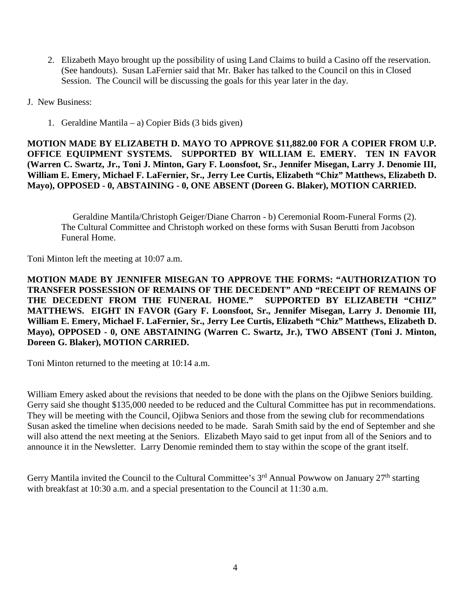- 2. Elizabeth Mayo brought up the possibility of using Land Claims to build a Casino off the reservation. (See handouts). Susan LaFernier said that Mr. Baker has talked to the Council on this in Closed Session. The Council will be discussing the goals for this year later in the day.
- J. New Business:
	- 1. Geraldine Mantila a) Copier Bids (3 bids given)

**MOTION MADE BY ELIZABETH D. MAYO TO APPROVE \$11,882.00 FOR A COPIER FROM U.P. OFFICE EQUIPMENT SYSTEMS. SUPPORTED BY WILLIAM E. EMERY. TEN IN FAVOR (Warren C. Swartz, Jr., Toni J. Minton, Gary F. Loonsfoot, Sr., Jennifer Misegan, Larry J. Denomie III, William E. Emery, Michael F. LaFernier, Sr., Jerry Lee Curtis, Elizabeth "Chiz" Matthews, Elizabeth D. Mayo), OPPOSED - 0, ABSTAINING - 0, ONE ABSENT (Doreen G. Blaker), MOTION CARRIED.**

 Geraldine Mantila/Christoph Geiger/Diane Charron - b) Ceremonial Room-Funeral Forms (2). The Cultural Committee and Christoph worked on these forms with Susan Berutti from Jacobson Funeral Home.

Toni Minton left the meeting at 10:07 a.m.

**MOTION MADE BY JENNIFER MISEGAN TO APPROVE THE FORMS: "AUTHORIZATION TO TRANSFER POSSESSION OF REMAINS OF THE DECEDENT" AND "RECEIPT OF REMAINS OF THE DECEDENT FROM THE FUNERAL HOME." SUPPORTED BY ELIZABETH "CHIZ" MATTHEWS. EIGHT IN FAVOR (Gary F. Loonsfoot, Sr., Jennifer Misegan, Larry J. Denomie III, William E. Emery, Michael F. LaFernier, Sr., Jerry Lee Curtis, Elizabeth "Chiz" Matthews, Elizabeth D. Mayo), OPPOSED - 0, ONE ABSTAINING (Warren C. Swartz, Jr.), TWO ABSENT (Toni J. Minton, Doreen G. Blaker), MOTION CARRIED.**

Toni Minton returned to the meeting at 10:14 a.m.

William Emery asked about the revisions that needed to be done with the plans on the Ojibwe Seniors building. Gerry said she thought \$135,000 needed to be reduced and the Cultural Committee has put in recommendations. They will be meeting with the Council, Ojibwa Seniors and those from the sewing club for recommendations Susan asked the timeline when decisions needed to be made. Sarah Smith said by the end of September and she will also attend the next meeting at the Seniors. Elizabeth Mayo said to get input from all of the Seniors and to announce it in the Newsletter. Larry Denomie reminded them to stay within the scope of the grant itself.

Gerry Mantila invited the Council to the Cultural Committee's  $3<sup>rd</sup>$  Annual Powwow on January  $27<sup>th</sup>$  starting with breakfast at 10:30 a.m. and a special presentation to the Council at 11:30 a.m.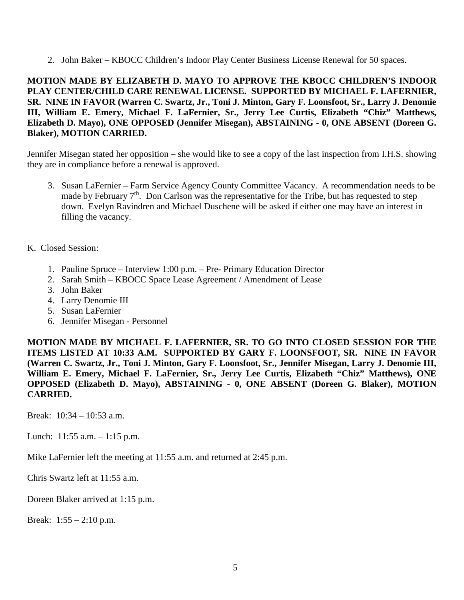2. John Baker – KBOCC Children's Indoor Play Center Business License Renewal for 50 spaces.

## **MOTION MADE BY ELIZABETH D. MAYO TO APPROVE THE KBOCC CHILDREN'S INDOOR PLAY CENTER/CHILD CARE RENEWAL LICENSE. SUPPORTED BY MICHAEL F. LAFERNIER, SR. NINE IN FAVOR (Warren C. Swartz, Jr., Toni J. Minton, Gary F. Loonsfoot, Sr., Larry J. Denomie III, William E. Emery, Michael F. LaFernier, Sr., Jerry Lee Curtis, Elizabeth "Chiz" Matthews, Elizabeth D. Mayo), ONE OPPOSED (Jennifer Misegan), ABSTAINING - 0, ONE ABSENT (Doreen G. Blaker), MOTION CARRIED.**

Jennifer Misegan stated her opposition – she would like to see a copy of the last inspection from I.H.S. showing they are in compliance before a renewal is approved.

- 3. Susan LaFernier Farm Service Agency County Committee Vacancy. A recommendation needs to be made by February 7<sup>th</sup>. Don Carlson was the representative for the Tribe, but has requested to step down. Evelyn Ravindren and Michael Duschene will be asked if either one may have an interest in filling the vacancy.
- K. Closed Session:
	- 1. Pauline Spruce Interview 1:00 p.m. Pre- Primary Education Director
	- 2. Sarah Smith KBOCC Space Lease Agreement / Amendment of Lease
	- 3. John Baker
	- 4. Larry Denomie III
	- 5. Susan LaFernier
	- 6. Jennifer Misegan Personnel

**MOTION MADE BY MICHAEL F. LAFERNIER, SR. TO GO INTO CLOSED SESSION FOR THE ITEMS LISTED AT 10:33 A.M. SUPPORTED BY GARY F. LOONSFOOT, SR. NINE IN FAVOR (Warren C. Swartz, Jr., Toni J. Minton, Gary F. Loonsfoot, Sr., Jennifer Misegan, Larry J. Denomie III, William E. Emery, Michael F. LaFernier, Sr., Jerry Lee Curtis, Elizabeth "Chiz" Matthews), ONE OPPOSED (Elizabeth D. Mayo), ABSTAINING - 0, ONE ABSENT (Doreen G. Blaker), MOTION CARRIED.**

Break: 10:34 – 10:53 a.m.

Lunch: 11:55 a.m. – 1:15 p.m.

Mike LaFernier left the meeting at 11:55 a.m. and returned at 2:45 p.m.

Chris Swartz left at 11:55 a.m.

Doreen Blaker arrived at 1:15 p.m.

Break:  $1:55 - 2:10$  p.m.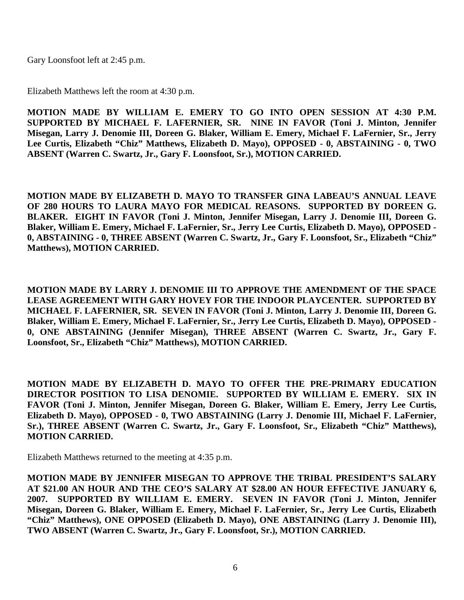Gary Loonsfoot left at 2:45 p.m.

Elizabeth Matthews left the room at 4:30 p.m.

**MOTION MADE BY WILLIAM E. EMERY TO GO INTO OPEN SESSION AT 4:30 P.M. SUPPORTED BY MICHAEL F. LAFERNIER, SR. NINE IN FAVOR (Toni J. Minton, Jennifer Misegan, Larry J. Denomie III, Doreen G. Blaker, William E. Emery, Michael F. LaFernier, Sr., Jerry Lee Curtis, Elizabeth "Chiz" Matthews, Elizabeth D. Mayo), OPPOSED - 0, ABSTAINING - 0, TWO ABSENT (Warren C. Swartz, Jr., Gary F. Loonsfoot, Sr.), MOTION CARRIED.**

**MOTION MADE BY ELIZABETH D. MAYO TO TRANSFER GINA LABEAU'S ANNUAL LEAVE OF 280 HOURS TO LAURA MAYO FOR MEDICAL REASONS. SUPPORTED BY DOREEN G. BLAKER. EIGHT IN FAVOR (Toni J. Minton, Jennifer Misegan, Larry J. Denomie III, Doreen G. Blaker, William E. Emery, Michael F. LaFernier, Sr., Jerry Lee Curtis, Elizabeth D. Mayo), OPPOSED - 0, ABSTAINING - 0, THREE ABSENT (Warren C. Swartz, Jr., Gary F. Loonsfoot, Sr., Elizabeth "Chiz" Matthews), MOTION CARRIED.**

**MOTION MADE BY LARRY J. DENOMIE III TO APPROVE THE AMENDMENT OF THE SPACE LEASE AGREEMENT WITH GARY HOVEY FOR THE INDOOR PLAYCENTER. SUPPORTED BY MICHAEL F. LAFERNIER, SR. SEVEN IN FAVOR (Toni J. Minton, Larry J. Denomie III, Doreen G. Blaker, William E. Emery, Michael F. LaFernier, Sr., Jerry Lee Curtis, Elizabeth D. Mayo), OPPOSED - 0, ONE ABSTAINING (Jennifer Misegan), THREE ABSENT (Warren C. Swartz, Jr., Gary F. Loonsfoot, Sr., Elizabeth "Chiz" Matthews), MOTION CARRIED.** 

**MOTION MADE BY ELIZABETH D. MAYO TO OFFER THE PRE-PRIMARY EDUCATION DIRECTOR POSITION TO LISA DENOMIE. SUPPORTED BY WILLIAM E. EMERY. SIX IN FAVOR (Toni J. Minton, Jennifer Misegan, Doreen G. Blaker, William E. Emery, Jerry Lee Curtis, Elizabeth D. Mayo), OPPOSED - 0, TWO ABSTAINING (Larry J. Denomie III, Michael F. LaFernier, Sr.), THREE ABSENT (Warren C. Swartz, Jr., Gary F. Loonsfoot, Sr., Elizabeth "Chiz" Matthews), MOTION CARRIED.**

Elizabeth Matthews returned to the meeting at 4:35 p.m.

**MOTION MADE BY JENNIFER MISEGAN TO APPROVE THE TRIBAL PRESIDENT'S SALARY AT \$21.00 AN HOUR AND THE CEO'S SALARY AT \$28.00 AN HOUR EFFECTIVE JANUARY 6, 2007. SUPPORTED BY WILLIAM E. EMERY. SEVEN IN FAVOR (Toni J. Minton, Jennifer Misegan, Doreen G. Blaker, William E. Emery, Michael F. LaFernier, Sr., Jerry Lee Curtis, Elizabeth "Chiz" Matthews), ONE OPPOSED (Elizabeth D. Mayo), ONE ABSTAINING (Larry J. Denomie III), TWO ABSENT (Warren C. Swartz, Jr., Gary F. Loonsfoot, Sr.), MOTION CARRIED.**